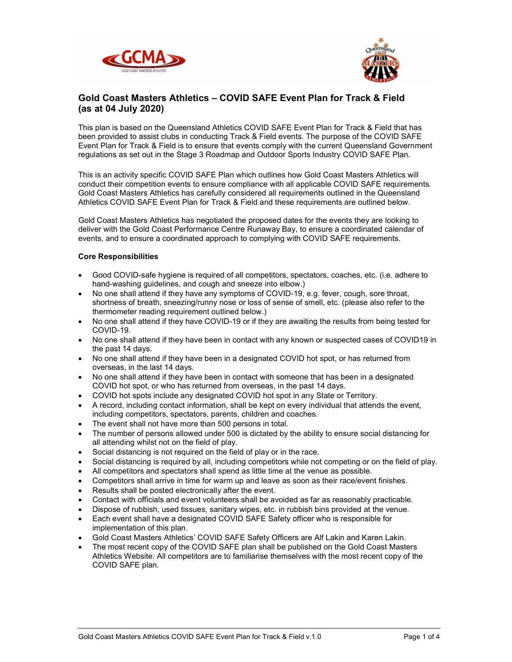



# Gold Coast Masters Athletics – COVID SAFE Event Plan for Track & Field (as at 04 July 2020)

This plan is based on the Queensland Athletics COVID SAFE Event Plan for Track & Field that has been provided to assist clubs in conducting Track & Field events. The purpose of the COVID SAFE Event Plan for Track & Field is to ensure that events comply with the current Queensland Government regulations as set out in the Stage 3 Roadmap and Outdoor Sports Industry COVID SAFE Plan.

This is an activity specific COVID SAFE Plan which outlines how Gold Coast Masters Athletics will conduct their competition events to ensure compliance with all applicable COVID SAFE requirements. Gold Coast Masters Athletics has carefully considered all requirements outlined in the Queensland Athletics COVID SAFE Event Plan for Track & Field and these requirements are outlined below.

Gold Coast Masters Athletics has negotiated the proposed dates for the events they are looking to deliver with the Gold Coast Performance Centre Runaway Bay, to ensure a coordinated calendar of events, and to ensure a coordinated approach to complying with COVID SAFE requirements.

## Core Responsibilities

- Good COVID-safe hygiene is required of all competitors, spectators, coaches, etc. (i.e. adhere to hand-washing guidelines, and cough and sneeze into elbow.)
- No one shall attend if they have any symptoms of COVID-19, e.g. fever, cough, sore throat, shortness of breath, sneezing/runny nose or loss of sense of smell, etc. (please also refer to the thermometer reading requirement outlined below.)
- No one shall attend if they have COVID-19 or if they are awaiting the results from being tested for COVID-19.
- No one shall attend if they have been in contact with any known or suspected cases of COVID19 in the past 14 days.
- No one shall attend if they have been in a designated COVID hot spot, or has returned from overseas, in the last 14 days.
- No one shall attend if they have been in contact with someone that has been in a designated COVID hot spot, or who has returned from overseas, in the past 14 days.
- COVID hot spots include any designated COVID hot spot in any State or Territory.
- A record, including contact information, shall be kept on every individual that attends the event, including competitors, spectators, parents, children and coaches.
- The event shall not have more than 500 persons in total.
- The number of persons allowed under 500 is dictated by the ability to ensure social distancing for all attending whilst not on the field of play.
- Social distancing is not required on the field of play or in the race.
- Social distancing is required by all, including competitors while not competing or on the field of play.
- All competitors and spectators shall spend as little time at the venue as possible.
- Competitors shall arrive in time for warm up and leave as soon as their race/event finishes.
- Results shall be posted electronically after the event.
- Contact with officials and event volunteers shall be avoided as far as reasonably practicable.
- Dispose of rubbish, used tissues, sanitary wipes, etc. in rubbish bins provided at the venue.
- Each event shall have a designated COVID SAFE Safety officer who is responsible for implementation of this plan.
- Gold Coast Masters Athletics' COVID SAFE Safety Officers are Alf Lakin and Karen Lakin.
- The most recent copy of the COVID SAFE plan shall be published on the Gold Coast Masters Athletics Website. All competitors are to familiarise themselves with the most recent copy of the COVID SAFE plan.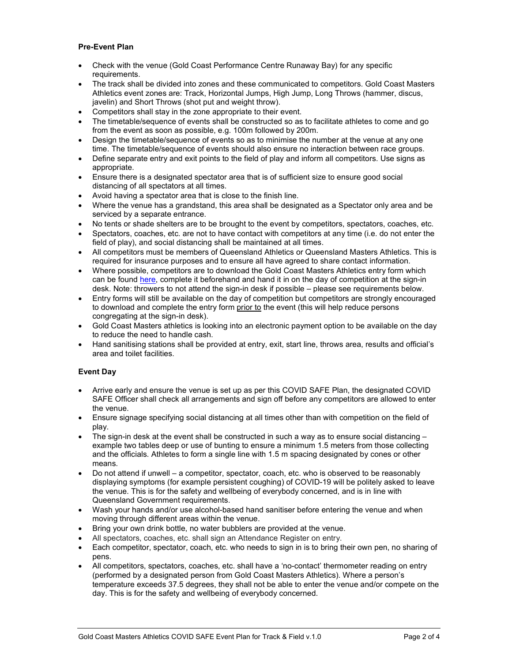## Pre-Event Plan

- Check with the venue (Gold Coast Performance Centre Runaway Bay) for any specific requirements.
- The track shall be divided into zones and these communicated to competitors. Gold Coast Masters Athletics event zones are: Track, Horizontal Jumps, High Jump, Long Throws (hammer, discus, javelin) and Short Throws (shot put and weight throw).
- Competitors shall stay in the zone appropriate to their event.
- The timetable/sequence of events shall be constructed so as to facilitate athletes to come and go from the event as soon as possible, e.g. 100m followed by 200m.
- Design the timetable/sequence of events so as to minimise the number at the venue at any one time. The timetable/sequence of events should also ensure no interaction between race groups.
- Define separate entry and exit points to the field of play and inform all competitors. Use signs as appropriate.
- Ensure there is a designated spectator area that is of sufficient size to ensure good social distancing of all spectators at all times.
- Avoid having a spectator area that is close to the finish line.
- Where the venue has a grandstand, this area shall be designated as a Spectator only area and be serviced by a separate entrance.
- No tents or shade shelters are to be brought to the event by competitors, spectators, coaches, etc.
- Spectators, coaches, etc. are not to have contact with competitors at any time (i.e. do not enter the field of play), and social distancing shall be maintained at all times.
- All competitors must be members of Queensland Athletics or Queensland Masters Athletics. This is required for insurance purposes and to ensure all have agreed to share contact information.
- Where possible, competitors are to download the Gold Coast Masters Athletics entry form which can be found here, complete it beforehand and hand it in on the day of competition at the sign-in desk. Note: throwers to not attend the sign-in desk if possible – please see requirements below.
- Entry forms will still be available on the day of competition but competitors are strongly encouraged to download and complete the entry form prior to the event (this will help reduce persons congregating at the sign-in desk).
- Gold Coast Masters athletics is looking into an electronic payment option to be available on the day to reduce the need to handle cash.
- Hand sanitising stations shall be provided at entry, exit, start line, throws area, results and official's area and toilet facilities.

# Event Day

- Arrive early and ensure the venue is set up as per this COVID SAFE Plan, the designated COVID SAFE Officer shall check all arrangements and sign off before any competitors are allowed to enter the venue.
- Ensure signage specifying social distancing at all times other than with competition on the field of play.
- $\bullet$  The sign-in desk at the event shall be constructed in such a way as to ensure social distancing  $$ example two tables deep or use of bunting to ensure a minimum 1.5 meters from those collecting and the officials. Athletes to form a single line with 1.5 m spacing designated by cones or other means.
- Do not attend if unwell a competitor, spectator, coach, etc. who is observed to be reasonably displaying symptoms (for example persistent coughing) of COVID-19 will be politely asked to leave the venue. This is for the safety and wellbeing of everybody concerned, and is in line with Queensland Government requirements.
- Wash your hands and/or use alcohol-based hand sanitiser before entering the venue and when moving through different areas within the venue.
- Bring your own drink bottle, no water bubblers are provided at the venue.
- All spectators, coaches, etc. shall sign an Attendance Register on entry.
- Each competitor, spectator, coach, etc. who needs to sign in is to bring their own pen, no sharing of pens.
- All competitors, spectators, coaches, etc. shall have a 'no-contact' thermometer reading on entry (performed by a designated person from Gold Coast Masters Athletics). Where a person's temperature exceeds 37.5 degrees, they shall not be able to enter the venue and/or compete on the day. This is for the safety and wellbeing of everybody concerned.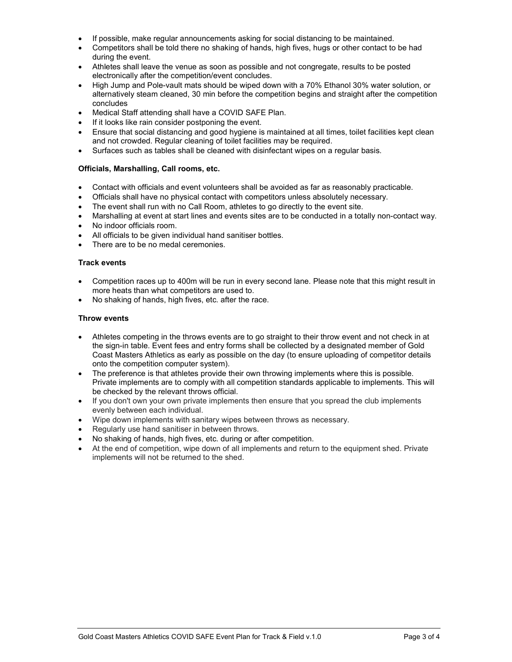- If possible, make regular announcements asking for social distancing to be maintained.
- Competitors shall be told there no shaking of hands, high fives, hugs or other contact to be had during the event.
- Athletes shall leave the venue as soon as possible and not congregate, results to be posted electronically after the competition/event concludes.
- High Jump and Pole-vault mats should be wiped down with a 70% Ethanol 30% water solution, or alternatively steam cleaned, 30 min before the competition begins and straight after the competition concludes
- Medical Staff attending shall have a COVID SAFE Plan.
- If it looks like rain consider postponing the event.
- Ensure that social distancing and good hygiene is maintained at all times, toilet facilities kept clean and not crowded. Regular cleaning of toilet facilities may be required.
- Surfaces such as tables shall be cleaned with disinfectant wipes on a regular basis.

## Officials, Marshalling, Call rooms, etc.

- Contact with officials and event volunteers shall be avoided as far as reasonably practicable.
- Officials shall have no physical contact with competitors unless absolutely necessary.
- The event shall run with no Call Room, athletes to go directly to the event site.
- Marshalling at event at start lines and events sites are to be conducted in a totally non-contact way.
- No indoor officials room.
- All officials to be given individual hand sanitiser bottles.
- There are to be no medal ceremonies.

## Track events

- Competition races up to 400m will be run in every second lane. Please note that this might result in more heats than what competitors are used to.
- No shaking of hands, high fives, etc. after the race.

#### Throw events

- Athletes competing in the throws events are to go straight to their throw event and not check in at the sign-in table. Event fees and entry forms shall be collected by a designated member of Gold Coast Masters Athletics as early as possible on the day (to ensure uploading of competitor details onto the competition computer system).
- The preference is that athletes provide their own throwing implements where this is possible. Private implements are to comply with all competition standards applicable to implements. This will be checked by the relevant throws official.
- If you don't own your own private implements then ensure that you spread the club implements evenly between each individual.
- Wipe down implements with sanitary wipes between throws as necessary.
- Regularly use hand sanitiser in between throws.
- No shaking of hands, high fives, etc. during or after competition.
- At the end of competition, wipe down of all implements and return to the equipment shed. Private implements will not be returned to the shed.